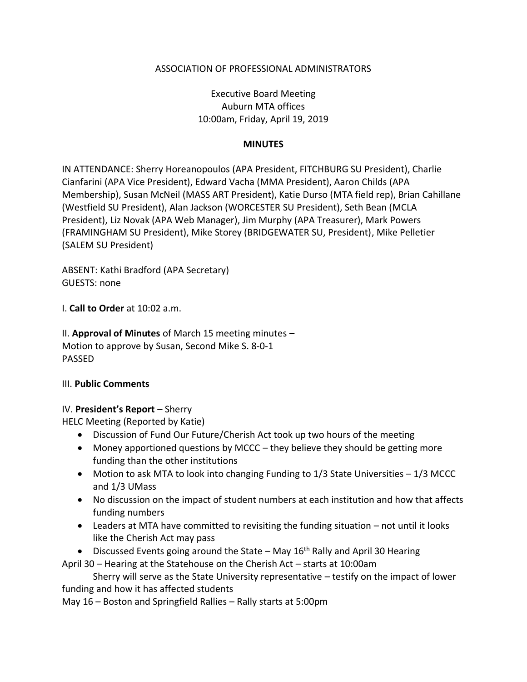### ASSOCIATION OF PROFESSIONAL ADMINISTRATORS

Executive Board Meeting Auburn MTA offices 10:00am, Friday, April 19, 2019

#### **MINUTES**

IN ATTENDANCE: Sherry Horeanopoulos (APA President, FITCHBURG SU President), Charlie Cianfarini (APA Vice President), Edward Vacha (MMA President), Aaron Childs (APA Membership), Susan McNeil (MASS ART President), Katie Durso (MTA field rep), Brian Cahillane (Westfield SU President), Alan Jackson (WORCESTER SU President), Seth Bean (MCLA President), Liz Novak (APA Web Manager), Jim Murphy (APA Treasurer), Mark Powers (FRAMINGHAM SU President), Mike Storey (BRIDGEWATER SU, President), Mike Pelletier (SALEM SU President)

ABSENT: Kathi Bradford (APA Secretary) GUESTS: none

I. **Call to Order** at 10:02 a.m.

II. **Approval of Minutes** of March 15 meeting minutes – Motion to approve by Susan, Second Mike S. 8-0-1 PASSED

#### III. **Public Comments**

#### IV. **President's Report** – Sherry

HELC Meeting (Reported by Katie)

- Discussion of Fund Our Future/Cherish Act took up two hours of the meeting
- Money apportioned questions by MCCC they believe they should be getting more funding than the other institutions
- Motion to ask MTA to look into changing Funding to  $1/3$  State Universities  $-1/3$  MCCC and 1/3 UMass
- No discussion on the impact of student numbers at each institution and how that affects funding numbers
- Leaders at MTA have committed to revisiting the funding situation not until it looks like the Cherish Act may pass
- Discussed Events going around the State May  $16<sup>th</sup>$  Rally and April 30 Hearing

April 30 – Hearing at the Statehouse on the Cherish Act – starts at 10:00am

Sherry will serve as the State University representative – testify on the impact of lower funding and how it has affected students

May 16 – Boston and Springfield Rallies – Rally starts at 5:00pm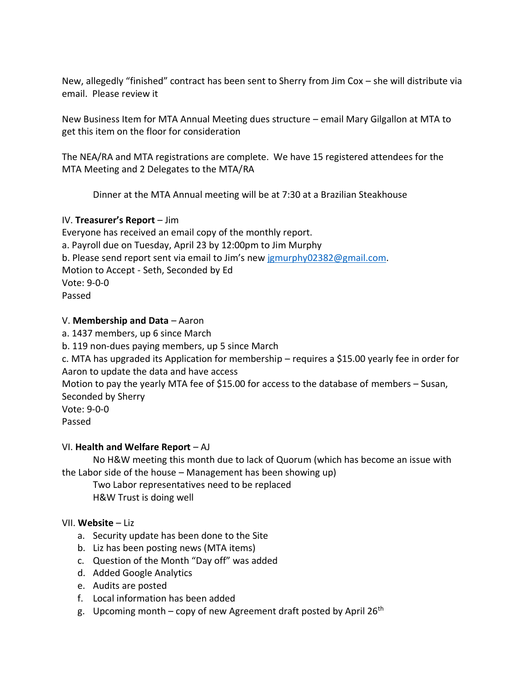New, allegedly "finished" contract has been sent to Sherry from Jim Cox – she will distribute via email. Please review it

New Business Item for MTA Annual Meeting dues structure – email Mary Gilgallon at MTA to get this item on the floor for consideration

The NEA/RA and MTA registrations are complete. We have 15 registered attendees for the MTA Meeting and 2 Delegates to the MTA/RA

Dinner at the MTA Annual meeting will be at 7:30 at a Brazilian Steakhouse

### IV. **Treasurer's Report** – Jim

Everyone has received an email copy of the monthly report. a. Payroll due on Tuesday, April 23 by 12:00pm to Jim Murphy b. Please send report sent via email to Jim's new [jgmurphy02382@gmail.com.](mailto:jgmurphy02382@gmail.com) Motion to Accept - Seth, Seconded by Ed Vote: 9-0-0 Passed

### V. **Membership and Data** – Aaron

a. 1437 members, up 6 since March b. 119 non-dues paying members, up 5 since March c. MTA has upgraded its Application for membership – requires a \$15.00 yearly fee in order for Aaron to update the data and have access Motion to pay the yearly MTA fee of \$15.00 for access to the database of members – Susan, Seconded by Sherry Vote: 9-0-0 Passed

### VI. **Health and Welfare Report** – AJ

No H&W meeting this month due to lack of Quorum (which has become an issue with the Labor side of the house – Management has been showing up)

Two Labor representatives need to be replaced H&W Trust is doing well

### VII. **Website** – Liz

- a. Security update has been done to the Site
- b. Liz has been posting news (MTA items)
- c. Question of the Month "Day off" was added
- d. Added Google Analytics
- e. Audits are posted
- f. Local information has been added
- g. Upcoming month copy of new Agreement draft posted by April 26<sup>th</sup>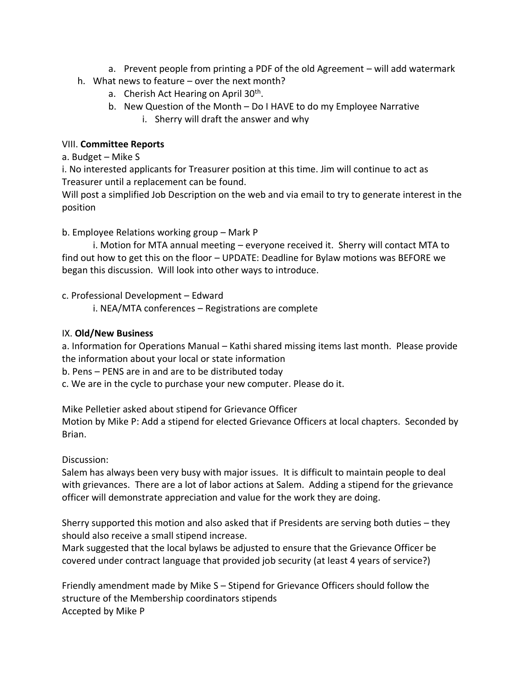- a. Prevent people from printing a PDF of the old Agreement will add watermark
- h. What news to feature over the next month?
	- a. Cherish Act Hearing on April 30<sup>th</sup>.
	- b. New Question of the Month Do I HAVE to do my Employee Narrative
		- i. Sherry will draft the answer and why

### VIII. **Committee Reports**

a. Budget – Mike S

i. No interested applicants for Treasurer position at this time. Jim will continue to act as Treasurer until a replacement can be found.

Will post a simplified Job Description on the web and via email to try to generate interest in the position

# b. Employee Relations working group – Mark P

i. Motion for MTA annual meeting – everyone received it. Sherry will contact MTA to find out how to get this on the floor – UPDATE: Deadline for Bylaw motions was BEFORE we began this discussion. Will look into other ways to introduce.

c. Professional Development – Edward

i. NEA/MTA conferences – Registrations are complete

# IX. **Old/New Business**

a. Information for Operations Manual – Kathi shared missing items last month. Please provide the information about your local or state information

b. Pens – PENS are in and are to be distributed today

c. We are in the cycle to purchase your new computer. Please do it.

Mike Pelletier asked about stipend for Grievance Officer

Motion by Mike P: Add a stipend for elected Grievance Officers at local chapters. Seconded by Brian.

# Discussion:

Salem has always been very busy with major issues. It is difficult to maintain people to deal with grievances. There are a lot of labor actions at Salem. Adding a stipend for the grievance officer will demonstrate appreciation and value for the work they are doing.

Sherry supported this motion and also asked that if Presidents are serving both duties – they should also receive a small stipend increase.

Mark suggested that the local bylaws be adjusted to ensure that the Grievance Officer be covered under contract language that provided job security (at least 4 years of service?)

Friendly amendment made by Mike S – Stipend for Grievance Officers should follow the structure of the Membership coordinators stipends Accepted by Mike P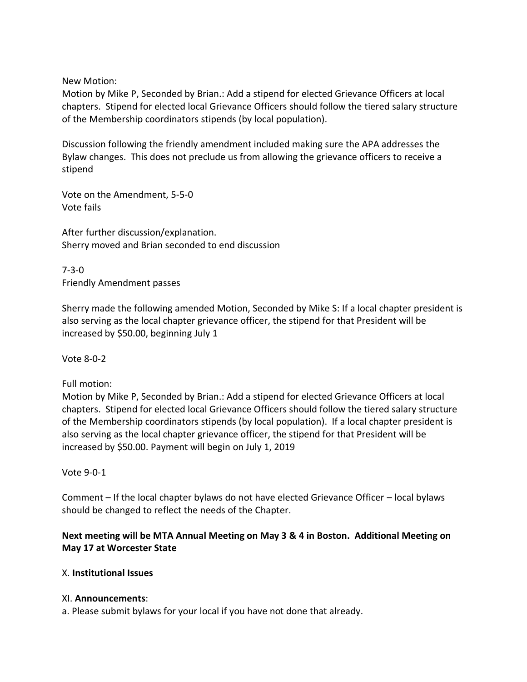New Motion:

Motion by Mike P, Seconded by Brian.: Add a stipend for elected Grievance Officers at local chapters. Stipend for elected local Grievance Officers should follow the tiered salary structure of the Membership coordinators stipends (by local population).

Discussion following the friendly amendment included making sure the APA addresses the Bylaw changes. This does not preclude us from allowing the grievance officers to receive a stipend

Vote on the Amendment, 5-5-0 Vote fails

After further discussion/explanation. Sherry moved and Brian seconded to end discussion

7-3-0 Friendly Amendment passes

Sherry made the following amended Motion, Seconded by Mike S: If a local chapter president is also serving as the local chapter grievance officer, the stipend for that President will be increased by \$50.00, beginning July 1

Vote 8-0-2

Full motion:

Motion by Mike P, Seconded by Brian.: Add a stipend for elected Grievance Officers at local chapters. Stipend for elected local Grievance Officers should follow the tiered salary structure of the Membership coordinators stipends (by local population). If a local chapter president is also serving as the local chapter grievance officer, the stipend for that President will be increased by \$50.00. Payment will begin on July 1, 2019

Vote 9-0-1

Comment – If the local chapter bylaws do not have elected Grievance Officer – local bylaws should be changed to reflect the needs of the Chapter.

# **Next meeting will be MTA Annual Meeting on May 3 & 4 in Boston. Additional Meeting on May 17 at Worcester State**

### X. **Institutional Issues**

#### XI. **Announcements**:

a. Please submit bylaws for your local if you have not done that already.